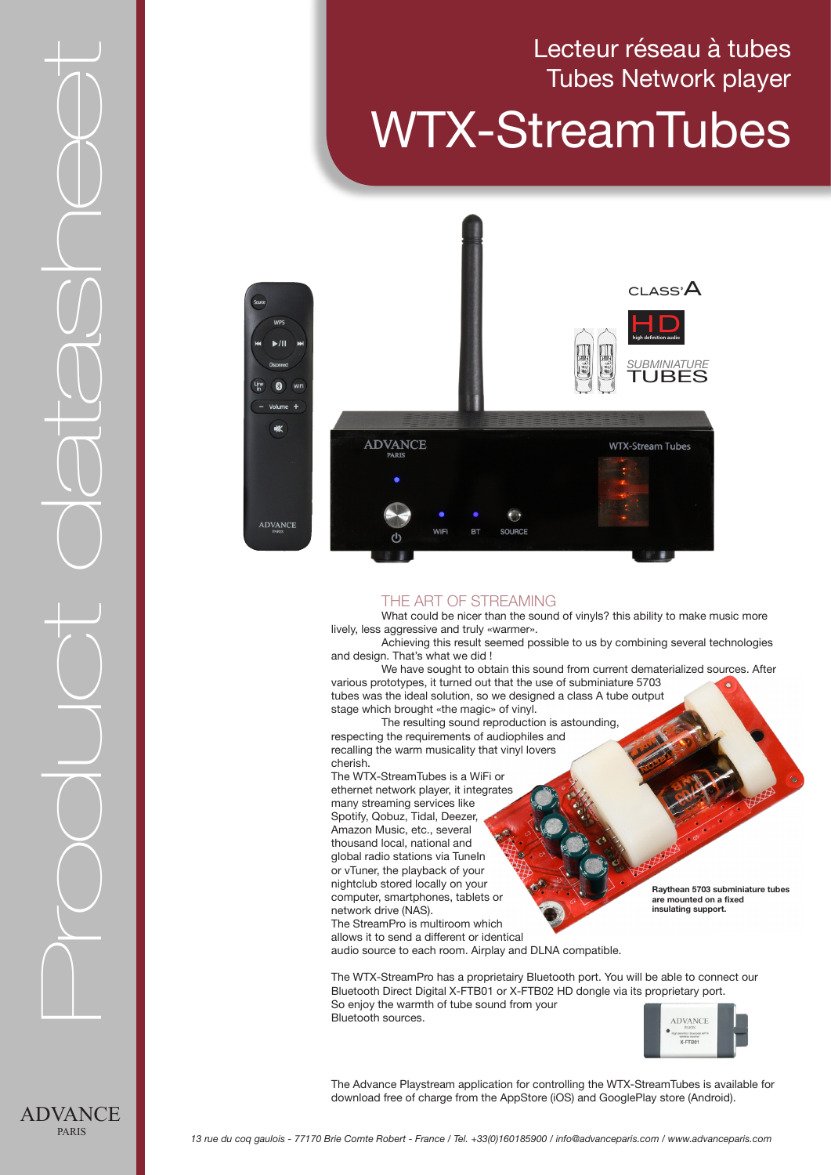# Tubes Network player WTX-StreamTubes

Lecteur réseau à tubes



#### THE ART OF STREAMING

What could be nicer than the sound of vinyls? this ability to make music more lively, less aggressive and truly «warmer».

Achieving this result seemed possible to us by combining several technologies and design. That's what we did !

We have sought to obtain this sound from current dematerialized sources. After various prototypes, it turned out that the use of subminiature 5703 tubes was the ideal solution, so we designed a class A tube output

stage which brought «the magic» of vinyl. The resulting sound reproduction is astounding,

respecting the requirements of audiophiles and recalling the warm musicality that vinyl lovers cherish.

The WTX-StreamTubes is a WiFi or ethernet network player, it integrates many streaming services like Spotify, Qobuz, Tidal, Deezer, Amazon Music, etc., several thousand local, national and global radio stations via TuneIn or vTuner, the playback of your nightclub stored locally on your computer, smartphones, tablets or network drive (NAS). The StreamPro is multiroom which

**Raythean 5703 subminiature tubes are mounted on a fixed insulating support.** 

allows it to send a different or identical audio source to each room. Airplay and DLNA compatible.

The WTX-StreamPro has a proprietairy Bluetooth port. You will be able to connect our Bluetooth Direct Digital X-FTB01 or X-FTB02 HD dongle via its proprietary port. So enjoy the warmth of tube sound from your Bluetooth sources.



The Advance Playstream application for controlling the WTX-StreamTubes is available for download free of charge from the AppStore (iOS) and GooglePlay store (Android).